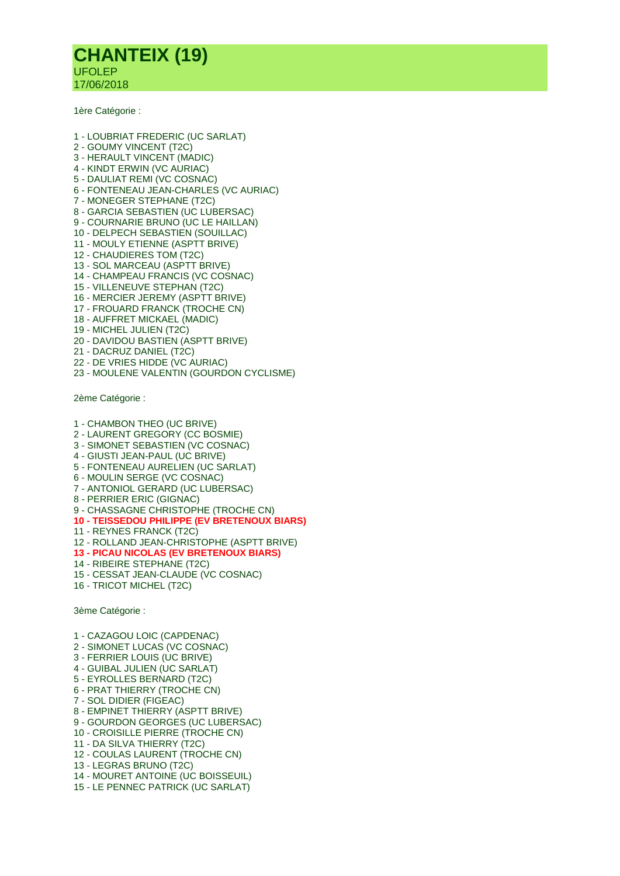## **CHANTEIX (19)** UFOLEP 17/06/2018

1ère Catégorie :

- 1 LOUBRIAT FREDERIC (UC SARLAT) 2 - GOUMY VINCENT (T2C) 3 - HERAULT VINCENT (MADIC) 4 - KINDT ERWIN (VC AURIAC) 5 - DAULIAT REMI (VC COSNAC) 6 - FONTENEAU JEAN-CHARLES (VC AURIAC) 7 - MONEGER STEPHANE (T2C) 8 - GARCIA SEBASTIEN (UC LUBERSAC) 9 - COURNARIE BRUNO (UC LE HAILLAN) 10 - DELPECH SEBASTIEN (SOUILLAC) 11 - MOULY ETIENNE (ASPTT BRIVE) 12 - CHAUDIERES TOM (T2C) 13 - SOL MARCEAU (ASPTT BRIVE) 14 - CHAMPEAU FRANCIS (VC COSNAC) 15 - VILLENEUVE STEPHAN (T2C) 16 - MERCIER JEREMY (ASPTT BRIVE) 17 - FROUARD FRANCK (TROCHE CN) 18 - AUFFRET MICKAEL (MADIC) 19 - MICHEL JULIEN (T2C) 20 - DAVIDOU BASTIEN (ASPTT BRIVE) 21 - DACRUZ DANIEL (T2C) 22 - DE VRIES HIDDE (VC AURIAC)
- 23 MOULENE VALENTIN (GOURDON CYCLISME)

2ème Catégorie :

- 1 CHAMBON THEO (UC BRIVE)
- 2 LAURENT GREGORY (CC BOSMIE)
- 3 SIMONET SEBASTIEN (VC COSNAC)
- 4 GIUSTI JEAN-PAUL (UC BRIVE)
- 5 FONTENEAU AURELIEN (UC SARLAT)
- 6 MOULIN SERGE (VC COSNAC) 7 - ANTONIOL GERARD (UC LUBERSAC)
- 8 PERRIER ERIC (GIGNAC)
- 9 CHASSAGNE CHRISTOPHE (TROCHE CN)
- **10 - TEISSEDOU PHILIPPE (EV BRETENOUX BIARS)**
- 11 REYNES FRANCK (T2C)
- 12 ROLLAND JEAN-CHRISTOPHE (ASPTT BRIVE)
- **13 - PICAU NICOLAS (EV BRETENOUX BIARS)**
- 14 RIBEIRE STEPHANE (T2C)
- 15 CESSAT JEAN-CLAUDE (VC COSNAC)
- 16 TRICOT MICHEL (T2C)

3ème Catégorie :

- 1 CAZAGOU LOIC (CAPDENAC)
- 2 SIMONET LUCAS (VC COSNAC)
- 3 FERRIER LOUIS (UC BRIVE)
- 4 GUIBAL JULIEN (UC SARLAT)
- 5 EYROLLES BERNARD (T2C)
- 6 PRAT THIERRY (TROCHE CN)
- 7 SOL DIDIER (FIGEAC)
- 8 EMPINET THIERRY (ASPTT BRIVE)
- 9 GOURDON GEORGES (UC LUBERSAC)
- 10 CROISILLE PIERRE (TROCHE CN)
- 11 DA SILVA THIERRY (T2C)
- 12 COULAS LAURENT (TROCHE CN)
- 13 LEGRAS BRUNO (T2C)
- 14 MOURET ANTOINE (UC BOISSEUIL)
- 15 LE PENNEC PATRICK (UC SARLAT)